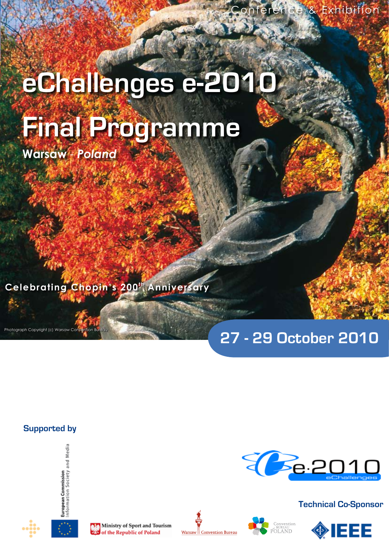# **eChallenges e-2010 Final Programme**

**Warsaw** - *Poland*

**Celebrating Chopin's 200th Anniversary**

# **27 - 29 October 2010**

Ee.2010

### **Supported by**

Photograph Copyright (c) Warsaw Convention Bureau











**Technical Co-Sponsor**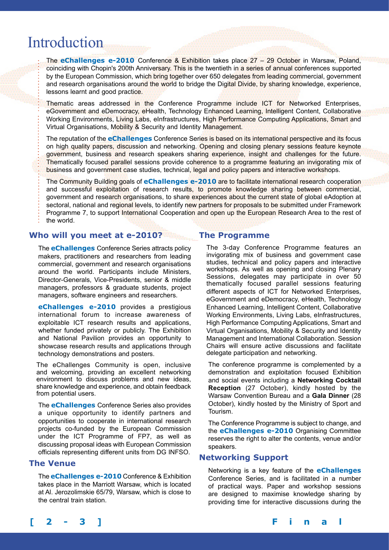# Introduction

The **eChallenges e-2010** Conference & Exhibition takes place 27 – 29 October in Warsaw, Poland, coinciding with Chopin's 200th Anniversary. This is the twentieth in a series of annual conferences supported by the European Commission, which bring together over 650 delegates from leading commercial, government and research organisations around the world to bridge the Digital Divide, by sharing knowledge, experience, lessons learnt and good practice.

Thematic areas addressed in the Conference Programme include ICT for Networked Enterprises, eGovernment and eDemocracy, eHealth, Technology Enhanced Learning, Intelligent Content, Collaborative Working Environments, Living Labs, eInfrastructures, High Performance Computing Applications, Smart and Virtual Organisations, Mobility & Security and Identity Management.

The reputation of the **eChallenges** Conference Series is based on its international perspective and its focus on high quality papers, discussion and networking. Opening and closing plenary sessions feature keynote government, business and research speakers sharing experience, insight and challenges for the future. Thematically focused parallel sessions provide coherence to a programme featuring an invigorating mix of business and government case studies, technical, legal and policy papers and interactive workshops.

The Community Building goals of **eChallenges e-2010** are to facilitate international research cooperation and successful exploitation of research results, to promote knowledge sharing between commercial, government and research organisations, to share experiences about the current state of global eAdoption at sectoral, national and regional levels, to identify new partners for proposals to be submitted under Framework Programme 7, to support International Cooperation and open up the European Research Area to the rest of the world.

#### **Who will you meet at e-2010?**

The **eChallenges** Conference Series attracts policy makers, practitioners and researchers from leading commercial, government and research organisations around the world. Participants include Ministers, Director-Generals, Vice-Presidents, senior & middle managers, professors & graduate students, project managers, software engineers and researchers.

**eChallenges e-2010** provides a prestigious international forum to increase awareness of exploitable ICT research results and applications, whether funded privately or publicly. The Exhibition and National Pavilion provides an opportunity to showcase research results and applications through technology demonstrations and posters.

The eChallenges Community is open, inclusive and welcoming, providing an excellent networking environment to discuss problems and new ideas, share knowledge and experience, and obtain feedback from potential users.

The **eChallenges** Conference Series also provides a unique opportunity to identify partners and opportunities to cooperate in international research projects co-funded by the European Commission under the ICT Programme of FP7, as well as discussing proposal ideas with European Commission officials representing different units from DG INFSO.

#### **The Venue**

The **eChallenges e-2010** Conference & Exhibition takes place in the Marriott Warsaw, which is located at Al. Jerozolimskie 65/79, Warsaw, which is close to the central train station.

#### **The Programme**

The 3-day Conference Programme features an invigorating mix of business and government case studies, technical and policy papers and interactive workshops. As well as opening and closing Plenary Sessions, delegates may participate in over 50 thematically focused parallel sessions featuring different aspects of ICT for Networked Enterprises, eGovernment and eDemocracy, eHealth, Technology Enhanced Learning, Intelligent Content, Collaborative Working Environments, Living Labs, eInfrastructures, High Performance Computing Applications, Smart and Virtual Organisations, Mobility & Security and Identity Management and International Collaboration. Session Chairs will ensure active discussions and facilitate delegate participation and networking.

The conference programme is complemented by a demonstration and exploitation focused Exhibition and social events including a **Networking Cocktail Reception** (27 October), kindly hosted by the Warsaw Convention Bureau and a **Gala Dinner** (28 October), kindly hosted by the Ministry of Sport and Tourism.

The Conference Programme is subject to change, and the **eChallenges e-2010** Organising Committee reserves the right to alter the contents, venue and/or speakers.

#### **Networking Support**

Networking is a key feature of the **eChallenges** Conference Series, and is facilitated in a number of practical ways. Paper and workshop sessions are designed to maximise knowledge sharing by providing time for interactive discussions during the

**[ 2 - 3 ] F i n a l P r o g r a m m e**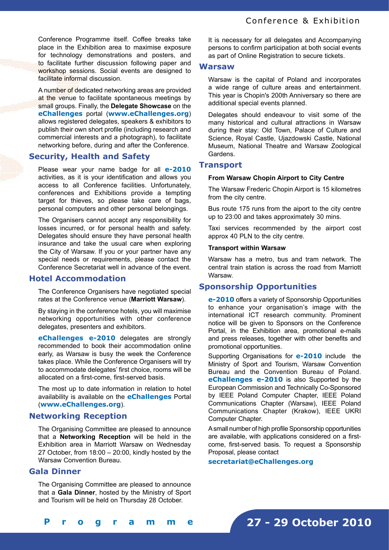Conference Programme itself. Coffee breaks take place in the Exhibition area to maximise exposure for technology demonstrations and posters, and to facilitate further discussion following paper and workshop sessions. Social events are designed to facilitate informal discussion.

A number of dedicated networking areas are provided at the venue to facilitate spontaneous meetings by small groups. Finally, the **Delegate Showcase** on the **eChallenges** portal (**www.eChallenges.org**) allows registered delegates, speakers & exhibitors to publish their own short profile (including research and commercial interests and a photograph), to facilitate networking before, during and after the Conference.

#### **Security, Health and Safety**

Please wear your name badge for all **e-2010**  activities, as it is your identification and allows you access to all Conference facilities. Unfortunately, conferences and Exhibitions provide a tempting target for thieves, so please take care of bags, personal computers and other personal belongings.

The Organisers cannot accept any responsibility for losses incurred, or for personal health and safety. Delegates should ensure they have personal health insurance and take the usual care when exploring the City of Warsaw. If you or your partner have any special needs or requirements, please contact the Conference Secretariat well in advance of the event.

#### **Hotel Accommodation**

The Conference Organisers have negotiated special rates at the Conference venue (**Marriott Warsaw**).

By staying in the conference hotels, you will maximise networking opportunities with other conference delegates, presenters and exhibitors.

**eChallenges e-2010** delegates are strongly recommended to book their accommodation online early, as Warsaw is busy the week the Conference takes place. While the Conference Organisers will try to accommodate delegates' first choice, rooms will be allocated on a first-come, first-served basis.

The most up to date information in relation to hotel availability is available on the **eChallenges** Portal (**www.eChallenges.org**).

#### **Networking Reception**

The Organising Committee are pleased to announce that a **Networking Reception** will be held in the Exhibition area in Marriott Warsaw on Wednesday 27 October, from 18:00 – 20:00, kindly hosted by the Warsaw Convention Bureau.

#### **Gala Dinner**

The Organising Committee are pleased to announce that a **Gala Dinner**, hosted by the Ministry of Sport and Tourism will be held on Thursday 28 October.

It is necessary for all delegates and Accompanying persons to confirm participation at both social events as part of Online Registration to secure tickets.

#### **Warsaw**

Warsaw is the capital of Poland and incorporates a wide range of culture areas and entertainment. This year is Chopin's 200th Anniversary so there are additional special events planned.

Delegates should endeavour to visit some of the many historical and cultural attractions in Warsaw during their stay: Old Town, Palace of Culture and Science, Royal Castle, Ujazdowski Castle, National Museum, National Theatre and Warsaw Zoological Gardens.

#### **Transport**

#### **From Warsaw Chopin Airport to City Centre**

The Warsaw Frederic Chopin Airport is 15 kilometres from the city centre.

Bus route 175 runs from the aiport to the city centre up to 23:00 and takes approximately 30 mins.

Taxi services recommended by the airport cost approx 40 PLN to the city centre.

#### **Transport within Warsaw**

Warsaw has a metro, bus and tram network. The central train station is across the road from Marriott Warsaw.

#### **Sponsorship Opportunities**

**e-2010** offers a variety of Sponsorship Opportunities to enhance your organisation's image with the international ICT research community. Prominent notice will be given to Sponsors on the Conference Portal, in the Exhibition area, promotional e-mails and press releases, together with other benefits and promotional opportunities.

Supporting Organisations for **e-2010** include the Ministry of Sport and Tourism, Warsaw Convention Bureau and the Convention Bureau of Poland. **eChallenges e-2010** is also Supported by the European Commission and Technically Co-Sponsored by IEEE Poland Computer Chapter, IEEE Poland Communications Chapter (Warsaw), IEEE Poland Communications Chapter (Krakow), IEEE UKRI Computer Chapter.

A small number of high profile Sponsorship opportunities are available, with applications considered on a firstcome, first-served basis. To request a Sponsorship Proposal, please contact

#### **secretariat@eChallenges.org**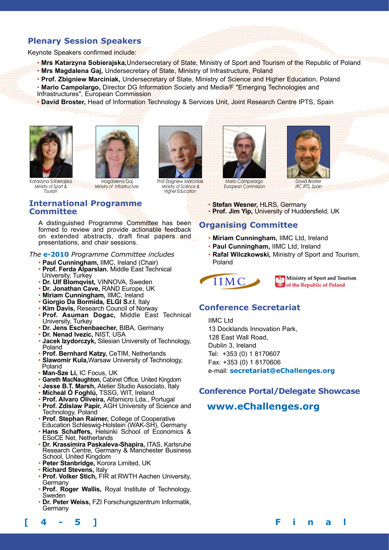### **Plenary Session Speakers**

Keynote Speakers confirmed include:

- • **Mrs Katarzyna Sobierajska,**Undersecretary of State, Ministry of Sport and Tourism of the Republic of Poland
- • **Mrs Magdalena Gaj,** Undersecretary of State, Ministry of Infrastructure, Poland
- • **Prof. Zbigniew Marciniak,** Undersecretary of State, Ministry of Science and Higher Education, Poland
- • **Mario Campolargo,** Director DG Information Society and Media/F "Emerging Technologies and

Prof Zbigniew Marciniak  *Ministry of Science & Higher Education*

- Infrastructures", European Commission
- • **David Broster,** Head of Information Technology & Services Unit, Joint Research Centre IPTS, Spain





Katarzyna Sobierajska *Ministry of Sport & Tourism* Magdalena Gaj *Ministry of Infrastructure*

#### **International Programme Committee**

A distinguished Programme Committee has been formed to review and provide actionable feedback on extended abstracts, draft final papers and presentations, and chair sessions.

*The* **e-2010** *Programme Committee includes*

- **Paul Cunningham,** IIMC, Ireland (Chair)
- **Prof. Ferda Alparslan**, Middle East Technical University, Turkey
- **Dr. Ulf Blomqvist,** VINNOVA, Sweden
- **Dr. Jonathan Cave,** RAND Europe, UK
- **Miriam Cunningham,** IIMC, Ireland
- **Giorgio Da Bormida, ELGI S.r.l**, Italy
- **Kim Davis,** Research Council of Norway
- **Prof. Asuman Dogac,** Middle East Technical University, Turkey
- **Dr. Jens Eschenbaecher,** BIBA, Germany
- **Dr. Nenad Ivezic,** NIST, USA
- **Jacek Izydorczyk,** Silesian University of Technology, Poland
- **Prof. Bernhard Katzy,** CeTIM, Netherlands
- **Slawomir Kula,**Warsaw University of Technology, Poland
- **Man-Sze Li,** IC Focus, UK
- **Gareth MacNaughton,** Cabinet Office, United Kingdom
- **Jesse B.T. Marsh,** Atelier Studio Associato, Italy
- **Mícheál Ó Foghlú,** TSSG, WIT, Ireland
- **Prof. Alvaro Oliveira,** Alfamicro Lda., Portugal
- **Prof. Zdislaw Papir,** AGH University of Science and Technology, Poland
- **Prof. Stephan Raimer,** College of Cooperative Education Schleswig-Holstein (WAK-SH), Germany
- **Hans Schaffers,** Helsinki School of Economics & ESoCE Net, Netherlands
- **Dr. Krassimira Paskaleva-Shapira,** ITAS, Karlsruhe Research Centre, Germany & Manchester Business School, United Kingdom
- **Peter Stanbridge,** Korora Limited, UK
- **Richard Stevens,** Italy
- **Prof. Volker Stich,** FIR at RWTH Aachen University, **Germany**
- **Prof. Roger Wallis,** Royal Institute of Technology, Sweden
- **Dr. Peter Weiss,** FZI Forschungszentrum Informatik, **Germany**



Mario Campolargo  *European Commission*



*JRC IPTS, Spain*

- **Stefan Wesner,** HLRS, Germany
- **Prof. Jim Yip,** University of Huddersfield, UK

### **Organising Committee**

- **Miriam Cunningham,** IIMC Ltd, Ireland
- **Paul Cunningham,** IIMC Ltd, Ireland
- **Rafal Wilczkowski,** Ministry of Sport and Tourism, Poland

IIMC.

Ministry of Sport and Tourism of the Republic of Poland

### **Conference Secretariat**

IIMC Ltd 13 Docklands Innovation Park, 128 East Wall Road, Dublin 3, Ireland Tel: +353 (0) 1 8170607 Fax: +353 (0) 1 8170606 e-mail: **secretariat@eChallenges.org**

## **Conference Portal/Delegate Showcase**

### **www.eChallenges.org**

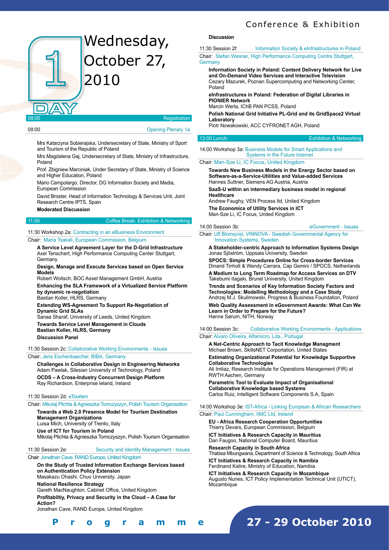# Wednesday, October 27, 2010



| 09:00 | <b>Opening Plenary 1a</b> |
|-------|---------------------------|

Mrs Katarzyna Sobierajska, Undersecretary of State, Ministry of Sport and Tourism of the Republic of Poland

Mrs Magdalena Gaj, Undersecretary of State, Ministry of Infrastructure, Poland

Prof. Zbigniew Marciniak, Under Secretary of State, Ministry of Science and Higher Education, Poland

Mario Campolargo, Director, DG Information Society and Media, European Commission

David Broster, Head of Information Technology & Services Unit, Joint Research Centre IPTS, Spain

**Moderated Discussion**

#### 11:00 Coffee Break: Exhibition & Networking

11:30 Workshop 2a: Contracting in an eBusiness Environment Chair: Maria Tsakali, European Commission, Belgium

**A Service Level Agreement Layer for the D-Grid Infrastructure**  Axel Tenschert, High Performance Computing Center Stuttgart, **Germany** 

**Design, Manage and Execute Services based on Open Service Models** 

Robert Woitsch, BOC Asset Management GmbH, Austria **Enhancing the SLA Framework of a Virtualized Service Platform by dynamic re-negotiation** 

Bastian Koller, HLRS, Germany

**Extending WS-Agreement To Support Re-Negotiation of Dynamic Grid SLAs**  Sanaa Sharaf, University of Leeds, United Kingdom **Towards Service Level Management in Clouds Bastian Koller, HLRS, Germany**

**Discussion Panel**

11:30 Session 2c: Collaborative Working Environments - Issues

#### Chair: Jens Eschenbaecher, BIBA, Germany

**Challenges in Collaborative Design in Engineering Networks**  Adam Pawlak, Silesian University of Technology, Poland **OCDS – A Cross-Industry Concurrent Design Platform**  Ray Richardson, Enterprise Ieland, Ireland

#### 11:30 Session 2d: eTourism

Chair: Mikolaj Plichta & Agnieszka Tomczyszyn, Polish Tourism Organisation

**Towards a Web 2.0 Presence Model for Tourism Destination Management Organizations**  Luisa Mich, University of Trento, Italy

**Use of ICT for Tourism in Poland**

Mikolaj Plichta & Agnieszka Tomczyszyn, Polish Tourism Organisation

11:30 Session 2e: Security and Identity Management - Issues

Chair: Jonathan Cave, RAND Europe, United Kingdom

**On the Study of Trusted Information Exchange Services based on Authentication Policy Extension**  Masakazu Ohashi, Chuo University, Japan **National Resilience Strategy**  Gareth MacNaughton, Cabinet Office, United Kingdom

**Profitabiltiy, Privacy and Security in the Cloud – A Case for** 

**Action?**  Jonathan Cave, RAND Europe, United Kingdom

### Conference & Exhibition

#### **Discussion**

11:30 Session 2f: Information Society & eInfrastructures in Poland

Chair: Stefan Wesner, High Performance Computing Centre Stuttgart, **Germany** 

**Information Society in Poland: Content Delivery Network for Live and On-Demand Video Services and Interactive Television**  Cezary Mazurek, Poznan Supercomputing and Networking Center, Poland

**eInfrastructures in Poland: Federation of Digital Libraries in PIONIER Network** 

Marcin Werla, IChB PAN PCSS, Poland

**Polish National Grid Initiative PL-Grid and its GridSpace2 Virtual Laboratory** 

Piotr Nowakowski, ACC CYFRONET AGH, Poland

13:00 Lunch: Exhibition & Networking

14:00 Workshop 3a: Business Models for Smart Applications and Systems in the Future Internet

#### Chair: Man-Sze Li, IC Focus, United Kingdom

**Towards New Business Models in the Energy Sector based on Software-as-a-Service-Utilities and Value-added Services**  Hannes Suttner, Siemens AG Austria, Austria

**SaaS-U within an intermediary business model in regional Healthcare** 

Andrew Faughy, VEN Process ltd, United Kingdom **The Economics of Utility Services in ICT**  Man-Sze Li, IC Focus, United Kingdom

#### 14:00 Session 3b: eGovernment - Issues

Chair: Ulf Blomqvist, VINNOVA - Swedish Governmental Agency for Innovation Systems, Sweden

**A Stakeholder-centric Approach to Information Systems Design**  Jonas Sjöström, Uppsala University, Sweden

**SPOCS: Simple Procedures Online for Cross-border Services**  Dinand Tinholt & Wendy Carrara, Cap Gemini / SPOCS, Netherlands

**A Medium to Long Term Roadmap for Access Services on DTV**  Takebumi Itagaki, Brunel University, United Kingdom

**Trends and Scenarios of Key Information Society Factors and Technologies: Modelling Methodology and a Case Study**  Andrzej M.J. Skulimowski, Progress & Business Foundation, Poland

**Web Quality Assessment in eGovernment Awards: What Can We Learn in Order to Prepare for the Future?**  Hanne Sørum, NITH, Norway

14:00 Session 3c: Collaborative Working Environments - Applications Chair: Alvaro Oliveira, Alfamicro, Lda., Portugal

**A Net-Centric Approach to Tacit Knowledge Managment**  Michael Brown, SkillsNET Corportation, United States

**Estimating Organizational Potential for Knowledge Supportive Collaborative Technologies** 

Ali Imtiaz, Research Institute for Operations Management (FIR) at RWTH Aachen, Germany

**Parametric Tool to Evaluate Impact of Organisational Collaborative Knowledge based Systems**  Carlos Ruiz, Intelligent Software Components S.A, Spain

14:00 Workshop 3e: IST-Africa - Linking European & African Researchers

#### Chair: Paul Cunningham, IIMC Ltd, Ireland

**EU - Africa Research Cooperation Opportunities** Thierry Devars, European Commission, Belgium

**ICT Initiatives & Research Capacity in Mauritius**  Dan Faugoo, National Computer Board, Mauritius

**Research Capacity in South Africa**  Thabisa Mbungwana, Department of Science & Technology, South Africa

**ICT Initiatives & Research Capacity in Namibia**  Ferdinand Katire, Ministry of Education, Namibia

**ICT Initiatives & Research Capacity in Mozambique**  Augusto Nunes, ICT Policy Implementation Technical Unit (UTICT), Mozambique

**[ 4 - 5 ] F i n a l P r o g r a m m e**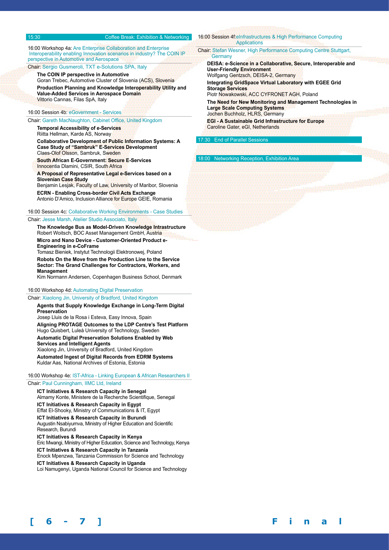#### 15:30 Coffee Break: Exhibition & Networking

16:00 Workshop 4a: Are Enterprise Collaboration and Enterprise Interoperability enabling Innovation scenarios in industry? The COIN IP perspective in Automotive and Aerospace Chair: Sergio Gusmeroli, TXT e-Solutions SPA, Italy

**The COIN IP perspective in Automotive**  Goran Trebec, Automotive Cluster of Slovenia (ACS), Slovenia **Production Planning and Knowledge Interoperability Utility and Value-Added Services in Aerospace Domain**  Vittorio Cannas, Filas SpA, Italy

#### 16:00 Session 4b: eGovernment - Services

Chair: Gareth MacNaughton, Cabinet Office, United Kingdom

**Temporal Accessibility of e-Services**  Riitta Hellman, Karde AS, Norway

**Collaborative Development of Public Information Systems: A Case Study of "Sambruk" E-Services Development**  Claes-Olof Olsson, Sambruk, Sweden

**South African E-Government: Secure E-Services**  Innocentia Dlamini, CSIR, South Africa

**A Proposal of Representative Legal e-Services based on a Slovenian Case Study** 

Benjamin Lesjak, Faculty of Law, University of Maribor, Slovenia **ECRN - Enabling Cross-border Civil Acts Exchange**  Antonio D'Amico, Inclusion Alliance for Europe GEIE, Romania

16:00 Session 4c: Collaborative Working Environments - Case Studies Chair: Jesse Marsh, Atelier Studio Associato, Italy

**The Knowledge Bus as Model-Driven Knowledge Intrastructure**  Robert Woitsch, BOC Asset Management GmbH, Austria **Micro and Nano Device - Customer-Oriented Product e-Engineering in e-CoFrame**  Tomasz Bieniek, Instytut Technologii Elektronowej, Poland **Robots On the Move from the Production Line to the Service Sector: The Grand Challenges for Contractors, Workers, and Management** 

Kim Normann Andersen, Copenhagen Business School, Denmark

#### 16:00 Workshop 4d: Automating Digital Preservation

Chair: Xiaolong Jin, University of Bradford, United Kingdom

**Agents that Supply Knowledge Exchange in Long-Term Digital Preservation**  Josep Lluis de la Rosa i Esteva, Easy Innova, Spain

**Aligning PROTAGE Outcomes to the LDP Centre's Test Platform**  Hugo Quisbert, Luleå University of Technology, Sweden

**Automatic Digital Preservation Solutions Enabled by Web Services and Intelligent Agents** 

Xiaolong Jin, University of Bradford, United Kingdom **Automated Ingest of Digital Records from EDRM Systems**  Kuldar Aas, National Archives of Estonia, Estonia

#### 16:00 Workshop 4e: IST-Africa - Linking European & African Researchers II

#### Chair: Paul Cunningham, IIMC Ltd, Ireland

**ICT Initiatives & Research Capacity in Senegal**  Almamy Konte, Ministere de la Recherche Scientifique, Senegal **ICT Initiatives & Research Capacity in Egypt**  Effat El-Shooky, Ministry of Communications & IT, Egypt **ICT Initiatives & Research Capacity in Burundi**  Augustin Nsabiyumva, Ministry of Higher Education and Scientific Research, Burundi **ICT Initiatives & Research Capacity in Kenya**  Eric Mwangi, Ministry of Higher Education, Science and Technology, Kenya **ICT Initiatives & Research Capacity in Tanzania**  Enock Mpenzwa, Tanzania Commission for Science and Technology

**ICT Initiatives & Research Capacity in Uganda** 

Loi Namugenyi, Uganda National Council for Science and Technology

#### 16:00 Session 4f:eInfrastructures & High Performance Computing Applications

Chair: Stefan Wesner, High Performance Computing Centre Stuttgart, **Germany** 

**DEISA: e-Science in a Collaborative, Secure, Interoperable and User-Friendly Environment**  Wolfgang Gentzsch, DEISA-2, Germany **Integrating GridSpace Virtual Laboratory with EGEE Grid Storage Services**  Piotr Nowakowski, ACC CYFRONET AGH, Poland

**The Need for New Monitoring and Management Technologies in Large Scale Computing Systems**  Jochen Buchholz, HLRS, Germany

**[ 6 - 7 ] F i n a l P r o g r a m m e**

**EGI - A Sustainable Grid Infrastructure for Europe**  Caroline Gater, eGI, Netherlands

**End of Parallel Sessions** 

18:00 Networking Reception, Exhibition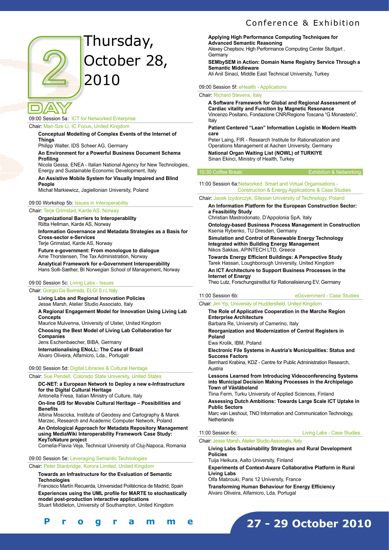#### Conference & Exhibition



# Thursday, October 28, 2010

# 09:00 Session 5a: ICT for Networked Enterprise

Chair: Man-Sze Li, IC Focus, United Kingdom

**Conceptual Modelling of Complex Events of the Internet of Things**  Philipp Walter, IDS Scheer AG, Germany

**An Environment for a Powerful Business Document Schema Profiling** 

Nicola Gessa, ENEA - Italian National Agency for New Technologies, Energy and Sustainable Economic Development, Italy

**An Assistive Mobile System for Visually Impaired and Blind People** 

Michał Markiewicz, Jagiellonian University, Poland

#### 09:00 Workshop 5b: Issues in Interoperability

Chair: Terje Grimstad, Karde AS, Norway

**Organizational Barriers to Interoperability**  Riitta Hellman, Karde AS, Norway **Information Governance and Metadata Strategies as a Basis for Cross-sector e-Services**  Terje Grimstad, Karde AS, Norway

**Future e-government: From monologue to dialogue**  Arne Thorstensen, The Tax Administration, Norway

**Analytical Framework for e-Government Interoperability**  Hans Solli-Sæther, BI Norwegian School of Management, Norway

#### 09:00 Session 5c: Living Labs - Issues

Chair: Giorgio Da Bormida, ELGI S.r.l, Italy **Living Labs and Regional Innovation Policies**  Jesse Marsh, Atelier Studio Associato, Italy **A Regional Engagement Model for Innovation Using Living Lab Concepts**  Maurice Mulvenna, University of Ulster, United Kingdom **Choosing the Best Model of Living Lab Collaboration for Companies**  Jens Eschenbaecher, BIBA, Germany **Internationalising ENoLL: The Case of Brazil**  Alvaro Oliveira, Alfamicro, Lda., Portugalr

#### 09:00 Session 5d: Digital Libraries & Cultural Heritage

Chair: Sue Pendell, Colorado State University, United States **DC-NET: a European Network to Deploy a new e-Infrastructure** 

**for the Digital Cultural Heritage** 

Antonella Fresa, Italian Ministry of Culture, Italy

**On-line GIS for Movable Cultural Heritage – Possibilities and Benefits** 

Albina Moscicka, Institute of Geodesy and Cartography & Marek Marzec, Research and Academic Computer Network, Poland

**An Ontological Approach for Metadata Repository Management using MediaWiki Interoperability Framework Case Study: KeyToNature project** 

Cornelia-Flavia Veja, Technical University of Cluj-Napoca, Romania

#### 09:00 Session 5e: Leveraging Semantic Technologies

Chair: Peter Stanbridge, Korora Limited, United Kingdom

**Towards an Infrastructure for the Evaluation of Semantic Technologies** 

Francisco Martín Recuerda, Universidad Politécnica de Madrid, Spain **Experiences using the UML profile for MARTE to stochastically model post-production interactive applications**  Stuart Middleton, University of Southampton, United Kingdom

**Applying High Performance Computing Techniques for Advanced Semantic Reasoning**  Alexey Cheptsov, High Performance Computing Center Stuttgart , **Germany** 

**SEMbySEM in Action: Domain Name Registry Service Through a Semantic Middleware** 

Ali Anil Sinaci, Middle East Technical University, Turkey

09:00 Session 5f: eHealth - Applications

#### Chair: Richard Stevens, Italy

**A Software Framework for Global and Regional Assessment of Cardiac vitality and Function by Magnetic Resonance**  Vincenzo Positano, Fondazione CNR/Regione Toscana "G Monasterio", Italy

#### **Patient Centered "Lean" Information Logistic in Modern Health care**

Peter Laing, FIR - Research Institute for Rationalization and Operations Management at Aachen University, Germany **National Organ Waiting List (NOWL) of TURKIYE**  Sinan Ekinci, Ministry of Health, Turkey

#### 10:30 Coffee Break: Exhibition & Networking

11:00 Session 6a:Networked, Smart and Virtual Organisations - Construction & Energy Applications & Case Studies

#### Chair: Jacek Izydorczyk, Silesian University of Technology, Poland

**An Information Platform for the European Construction Sector: a Feasibility Study** 

Christian Mastrodonato, D'Appolonia SpA, Italy

**Ontology-based Business Process Management in Construction**  Ksenia Rybenko, TU Dresden, Germany

**Simulation and Control of Renewable Energy Technology Integrated within Building Energy Management**  Nikos Sakkas, APINTECH LTD, Greece

**Towards Energy Efficient Buildings: A Perspective Study**  Tarek Hassan, Loughborough University, United Kingdom

**An ICT Architecture to Support Business Processes in the Internet of Energy** 

Theo Lutz, Forschungsinstitut für Rationalisierung EV, Germany

#### 11:00 Session 6b: eGovernment - Case Studies

Chair: Jim Yip, University of Huddersfield, United Kingdom

#### **The Role of Applicative Cooperation in the Marche Region Enterprise Architecture**

Barbara Re, University of Camerino, Italy

**Reorganization and Modernization of Central Registers in Poland** 

Ewa Krolik, IBM, Poland

**Electronic File Systems in Austria's Municipalities: Status and Success Factors** 

Bernhard Krabina, KDZ - Centre for Public Administration Research, Austria

**Lessons Learned from Introducing Videoconferencing Systems into Municipal Decision Making Processes in the Archipelago Town of Väståboland** 

Tiina Ferm, Turku University of Applied Sciences, Finland

**Assessing Dutch Ambitions: Towards Large Scale ICT Uptake in Public Sectors** 

Marc van Lieshout, TNO Information and Communication Technology, **Netherlands** 

#### 11:00 Session 6c: Living Labs - Case Studies

**27 - 29 October 2010**

Chair: Jesse Marsh, Atelier Studio Associato, Italy

#### **Living Labs Sustainability Strategies and Rural Development Policies**

Tuija Heikura, Aalto University, Finland

**Experiments of Context-Aware Collaborative Platform in Rural Living Labs** 

Olfa Mabrouki, Paris 12 University, France

**Transforming Human Behaviour for Energy Efficiency**  Alvaro Oliveira, Alfamicro, Lda, Portugal

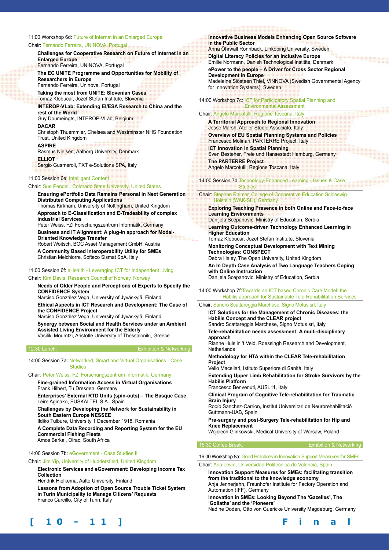#### 11:00 Workshop 6d: Future of Internet in an Enlarged Europe

#### Chair: Fernando Ferreira, UNINOVA, Portugal

**Challenges for Cooperative Research on Future of Internet in an Enlarged Europe** 

Fernando Ferreira, UNINOVA, Portugal

**The EC UNITE Programme and Opportunities for Mobility of Researchers in Europe**  Fernando Ferreira, Uninova, Portugal

**Taking the most from UNITE: Slovenian Cases** 

Tomaz Klobucar, Jozef Stefan Institute, Slovenia

**INTEROP-VLab: Extending EI/ESA Research to China and the rest of the World** 

Guy Doumeingts, INTEROP-VLab, Belgium

**DACAR** 

Christoph Thuemmler, Chelsea and Westminster NHS Foundation Trust, United Kingdom

**ASPIRE** 

Rasmus Nielsen, Aalborg University, Denmark

**ELLIOT**  Sergio Gusmeroli, TXT e-Solutions SPA, Italy

11:00 Session 6e: Intelligent Content

### Chair: Sue Pendell, Colorado State University, United States

**Ensuring ePortfolio Data Remains Personal in Next Generation Distributed Computing Applications** 

Thomas Kirkham, University of Nottingham, United Kingdom **Approach to E-Classification and E-Tradeability of complex** 

**industrial Services**  Peter Weiss, FZI Forschungszentrum Informatik, Germany **Business and IT Alignment: A plug-in approach for Model-**

**Oriented Knowledge Transfer**  Robert Woitsch, BOC Asset Management GmbH, Austria

**A Community Based Interoperability Utility for SMEs**  Christian Melchiorre, Softeco Sismat SpA, Italy

11:00 Session 6f: eHealth - Leveraging ICT for Independent Living

#### Chair: Kim Davis, Research Council of Norway, Norway

**Needs of Older People and Perceptions of Experts to Specify the CONFIDENCE System** 

Narciso González Vega, University of Jyväskylä, Finland

**Ethical Aspects in ICT Research and Development: The Case of the CONFIDENCE Project** 

Narciso González Vega, University of Jyväskylä, Finland

**Synergy between Social and Health Services under an Ambient Assisted Living Environment for the Elderly** Vasiliki Moumtzi, Aristotle University of Thessaloniki, Greece

12:30 Lunch: Exhibition & Networking

14:00 Session 7a: Networked, Smart and Virtual Organisations - Case Studies

Chair: Peter Weiss, FZI Forschungszentrum Informatik, Germany

**Fine-grained Information Access in Virtual Organisations**  Frank Hilbert, Tu Dresden, Germany **Enterprises' External RTD Units (spin-outs) – The Basque Case** 

Leire Aginako, EUSKALTEL S.A., Spain

**Challenges by Developing the Network for Sustainability in South Eastern Europe NESSEE** 

Ildiko Tulbure, University 1 December 1918, Romania

**A Complete Data Recording and Reporting System for the EU Commercial Fishing Fleets** 

Amos Barkai, Olrac, South Africa

14:00 Session 7b: eGovernment - Case Studies II

Chair: Jim Yip, University of Huddersfield, United Kingdom

**Electronic Services and eGovernment: Developing Income Tax Collection** 

Hendrik Hielkema, Aalto University, Finland

**Lessons from Adoption of Open Source Trouble Ticket System in Turin Municipality to Manage Citizens' Requests**  Franco Carcillo, City of Turin, Italy

#### **Innovative Business Models Enhancing Open Source Software in the Public Sector**

Anna Öhrwall Rönnbäck, Linköping University, Sweden **Digital Literacy Policies for an inclusive Europe** 

Emilie Normann, Danish Technological Institite, Denmark **ePower to the people – A Driver for Cross Sector Regional Development in Europe** 

Madeleine Siösteen Thiel, VINNOVA (Swedish Governmental Agency for Innovation Systems), Sweden

14:00 Workshop 7c: ICT for Participatory Spatial Planning and Environmental Assessment

#### Chair: Angelo Marcotulli, Regione Toscana, Italy

**A Territorial Approach to Regional Innovation**  Jesse Marsh, Atelier Studio Associato, Italy **Overview of EU Spatial Planning Systems and Policies**  Francesco Molinari, PARTERRE Project, Italy **ICT Innovation in Spatial Planning**  Sven Besteher, Freie und Hansestadt Hamburg, Germany **The PARTERRE Project**  Angelo Marcotulli, Regione Toscana, Italy

14:00 Session 7d:Technology-Enhanced Learning - Issues & Case **Studies** 

#### Chair: Stephan Raimer, College of Cooperative Education Schleswig- Holstein (WAK-SH), Germany

**Exploring Teaching Presence in both Online and Face-to-face Learning Environments**  Danijela Scepanovic, Ministry of Education, Serbia **Learning Outcome-driven Technology Enhanced Learning in Higher Education**  Tomaz Klobucar, Jozef Stefan Institute, Slovenia **Monitoring Conceptual Development with Text Mining Technologies: CONSPECT**  Debra Haley, The Open University, United Kingdom **An In Depth Case Analysis of Two Language Teachers Coping with Online Instruction** 

Danijela Scepanovic, Ministry of Education, Serbia

#### 14:00 Workshop 7f:Towards an ICT based Chronic Care Model: the Habilis approach for Sustainable Tele-Rehabilitation Services

#### Chair: Sandro Scattareggia Marchese, Signo Motus srl, Italy

**ICT Solutions for the Management of Chronic Diseases: the Habilis Concept and the CLEAR project**  Sandro Scattareggia Marchese, Signo Motus srl, Italy **Tele-rehabilitation needs assessment: A multi-disciplinary approach**  Rianne Huis in 't Veld, Roessingh Research and Development, **Netherlands Methodology for HTA within the CLEAR Tele-rehabilitation Project**  Velio Macellari, Istituto Superiore di Sanità, Italy **Extending Upper Limb Rehabilitation for Stroke Survivors by the Habilis Platform**  Francesco Benvenuti, AUSL11, Italy **Clinical Program of Cognitive Tele-rehabilitation for Traumatic Brain Injury**  Rocío Sanchez-Carrion, Institut Universitari de Neurorehabilitació Guttmann-UAB, Spain **Pre-surgery and post-Surgery Tele-rehabilitation for Hip and Knee Replacement**  Wojciech Glinkowski, Medical University of Warsaw, Poland

15:30 Coffee Break: Exhibition & Networking

16:00 Workshop 8a: Good Practices in Innovation Support Measures for SMEs

Chair: Ana Levin, Universidad Politecnica de Valencia, Spain

**Innovation Support Measures for SMEs: facilitating transition from the traditional to the knowledge economy**  Anja Jennerjahn, Fraunhofer Institute for Factory Operation and Automation (IFF), Germany **Innovation in SMEs: Looking Beyond The 'Gazelles', The** 

**'Goliaths' and the 'Pioneers'**  Nadine Doden, Otto von Guericke University Magdeburg, Germany

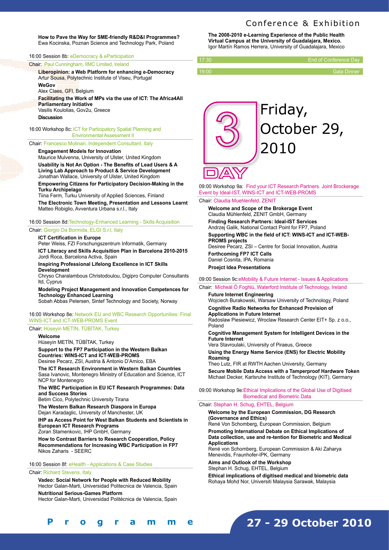#### Conference & Exhibition

**How to Pave the Way for SME-friendly R&D&I Programmes?**  Ewa Kocinska, Poznan Science and Technology Park, Poland

#### 16:00 Session 8b: eDemocracy & eParticipation

Chair: Paul Cunningham, IIMC Limited, Ireland

**Liberopinion: a Web Platform for enhancing e-Democracy**  Artur Sousa, Polytechnic Institute of Viseu, Portugal

**WeGov** 

Alex Claes, GFI, Belgium

**Facilitating the Work of MPs via the use of ICT: The Africa4All Parliamentary Initiative** Vasilis Koulolias, Gov2u, Greece

**Discussion**

16:00 Workshop 8c: ICT for Participatory Spatial Planning and Environmental Assessment II

Chair: Francesco Molinari, Independent Consultant, Italy

**Engagement Models for Innovation** 

Maurice Mulvenna, University of Ulster, United Kingdom **Usability is Not An Option - The Benefits of Lead Users & A Living Lab Approach to Product & Service Development**  Jonathan Wallace, University of Ulster, United Kingdom **Empowering Citizens for Participatory Decision-Making in the** 

**Turku Archipelago**  Tiina Ferm, Turku University of Applied Sciences, Finland

**The Electronic Town Meeting, Presentation and Lessons Learnt**  Matteo Robiglio, Avventura Urbana s.r.l., Italy

16:00 Session 8d:Technology-Enhanced Learning - Skills Acquisition

Chair: Giorgio Da Bormida, ELGI S.r.l, Italy

#### **ICT Certification in Europe**

Peter Weiss, FZI Forschungszentrum Informatik, Germany **ICT Literacy and Skills Acquisition Plan in Barcelona 2010-2015**  Jordi Roca, Barcelona Activa, Spain

**Inspiring Professional Lifelong Excellence in ICT Skills Development** 

Chryso Charalambous Christodoulou, Digipro Computer Consultants ltd, Cyprus

**Modeling Project Management and Innovation Competences for Technology Enhanced Learning** 

Sobah Abbas Petersen, Sintef Technology and Society, Norway

16:00 Workshop 8e: Network EU and WBC Research Opportunities: Final WINS-ICT and ICT-WEB-PROMS Event

#### Chair: Hüseyin METİN, TÜBİTAK, Turkey

**Welcome** 

Hüseyin METİN, TÜBİTAK, Turkey **Support to the FP7 Participation in the Western Balkan Countries: WINS-ICT and ICT-WEB-PROMS** 

Desiree Pecarz, ZSI, Austria & Antonio D'Amico, EBA

**The ICT Research Environment in Western Balkan Countries** Sasa Ivanovic, Montenegro Ministry of Education and Science, ICT NCP for Montenegro

**The WBC Participation in EU ICT Research Programmes: Data and Success Stories** 

Betim Cico, Polytechnic University Tirana

**The Western Balkan Research Diaspora in Europa**  Dejan Karadaglic, University of Manchester, UK

**IHP as Access Point for West Balkan Students and Scientists in European ICT Research Programs**

Zoran Stamenkovic, IHP GmbH, Germany

**How to Contrast Barriers to Research Cooperation, Policy Recommendations for Increasing WBC Participation in FP7** Nikos Zaharis - SEERC

16:00 Session 8f: eHealth - Applications & Case Studies

#### Chair: Richard Stevens, Italy

**[ 1 0 - 1 1 ] F i n a l P r o g r a m m e**

**Vadeo: Social Network for People with Reduced Mobility**  Hector Galan-Marti, Universidad Politecnica de Valencia, Spain **Nutritional Serious-Games Platform** 

Hector Galan-Marti, Universidad Politécnica de Valencia, Spain

**The 2008-2010 e-Learning Experience of the Public Health Virtual Campus at the University of Guadalajara, Mexico.**  Igor Martín Ramos Herrera, University of Guadalajara, Mexico

| 17:30 | End of Conference Dav |
|-------|-----------------------|
|       |                       |
| 19:00 | <b>Gala Dinner</b>    |



09:00 Workshop 9a: Find your ICT Research Partners. Joint Brockerage Event by Ideal-IST, WINS-ICT and ICT-WEB-PROMS

Chair: Claudia Muehlenfeld, ZENIT

**Welcome and Scope of the Brokerage Event**  Claudia Mühlenfeld, ZENIT GmbH, Germany **Finding Research Partners: Ideal-IST Services**  Andrzej Galik, National Contact Point for FP7, Poland **Supporting WBC in the field of ICT: WINS-ICT and ICT-WEB-PROMS projects**  Desiree Pecarz, ZSI – Centre for Social Innovation, Austria **Forthcoming FP7 ICT Calls**  Daniel Cosnita, IPA, Romania **Proejct Idea Presentations**

09:00 Session 9c:eMobility & Future Internet - Issues & Applications

#### Chair: Mícheál Ó Foghlú, Waterford Institute of Technology, Ireland **Future Internet Engineering**

Wojciech Burakowski, Warsaw University of Technology, Poland **Cognitive Radio Networks for Enhanced Provision of Applications in Future Internet** 

Radoslaw Piesiewicz, Wroclaw Research Center EIT+ Sp. z o.o., Poland

**Cognitive Management System for Intelligent Devices in the Future Internet** 

Vera Stavroulaki, University of Piraeus, Greece

**Using the Energy Name Service (ENS) for Electric Mobility Roaming** 

Theo Lutz, FIR at RWTH Aachen University, Germany **Secure Mobile Data Access with a Tamperproof Hardware Token**  Michael Decker, Karlsruhe Institute of Technology (KIT), Germany

09:00 Workshop 9e:Ethical Implications of the Global Use of Digitised Biomedical and Biometric Data

#### Chair: Stephan H. Schug, EHTEL, Belgium

**Welcome by the European Commission, DG Research (Governance and Ethics)** 

René Von Schomberg, European Commission, Belgium

**Promoting International Debate on Ethical Implications of Data collection, use and re-tention for Biometric and Medical Applications**

René von Schomberg, European Commission & Aki Zaharya Menevidis, Fraunhofer-IPK, Germany

**Aims and Outlook of the Workshop**  Stephan H. Schug, EHTEL, Belgium

**Ethical implications of digitised medical and biometric data**  Rohaya Mohd Nor, Universiti Malaysia Sarawak, Malaysia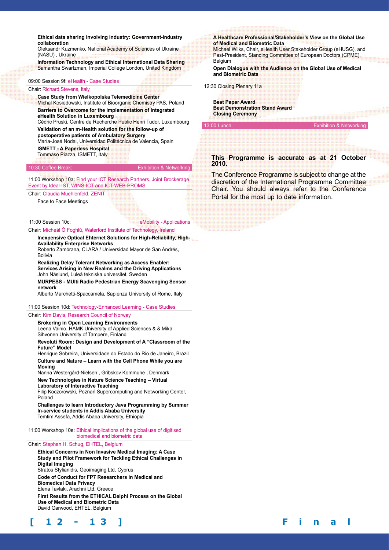**Ethical data sharing involving industry: Government-industry collaboration** 

Oleksandr Kuzmenko, National Academy of Sciences of Ukraine (NASU) , Ukraine

**Information Technology and Ethical International Data Sharing**  Samantha Swartzman, Imperial College London, United Kingdom

#### 09:00 Session 9f: eHealth - Case Studies

#### Chair: Richard Stevens, Italy

**Case Study from Wielkopolska Telemedicine Center**  Michal Kosiedowski, Institute of Bioorganic Chemistry PAS, Poland **Barriers to Overcome for the Implementation of Integrated eHealth Solution in Luxembourg**  Cédric Pruski, Centre de Recherche Public Henri Tudor, Luxembourg **Validation of an m-Health solution for the follow-up of postoperative patients of Ambulatory Surgery** 

María-José Nodal, Universidad Politécnica de Valencia, Spain **ISMETT - A Paperless Hospital**  Tommaso Piazza, ISMETT, Italy

#### 10:30 Coffee Break: Exhibition & Networking

11:00 Workshop 10a: Find your ICT Research Partners. Joint Brockerage Event by Ideal-IST, WINS-ICT and ICT-WEB-PROMS

Chair: Claudia Muehlenfeld, ZENIT

Face to Face Meetings

11:00 Session 10c: eMobility - Applications

Chair: Mícheál Ó Foghlú, Waterford Institute of Technology, Ireland

**Inexpensive Optical Ehternet Solutions for High-Reliability, High-Availability Enterprise Networks** 

Roberto Zambrana, CLARA / Universidad Mayor de San Andrés, Bolivia

**Realizing Delay Tolerant Networking as Access Enabler: Services Arising in New Realms and the Driving Applications**  John Näslund, Luleå tekniska universitet, Sweden

**MURPESS - MUlti Radio Pedestrian Energy Scavenging Sensor network** 

Alberto Marchetti-Spaccamela, Sapienza University of Rome, Italy

#### 11:00 Session 10d: Technology-Enhanced Learning - Case Studies

#### Chair: Kim Davis, Research Council of Norway

**Brokering in Open Learning Environments**  Leena Vainio, HAMK University of Applied Sciences & & Mika Sihvonen University of Tampere, Finland

**Revoluti Room: Design and Development of A "Classroom of the Future" Model** 

Henrique Sobreira, Universidade do Estado do Rio de Janeiro, Brazil **Culture and Nature – Learn with the Cell Phone While you are Moving** 

Nanna Westergård-Nielsen , Gribskov Kommune , Denmark

**New Technologies in Nature Science Teaching – Virtual** 

**Laboratory of Interactive Teaching** 

Filip Koczorowski, Poznań Supercomputing and Networking Center, Poland

**Challenges to learn Introductory Java Programming by Summer In-service students in Addis Ababa University**  Temtim Assefa, Addis Ababa University, Ethiopia

11:00 Workshop 10e: Ethical implications of the global use of digitised biomedical and biometric data

Chair: Stephan H. Schug, EHTEL, Belgium

**Ethical Concerns in Non Invasive Medical Imaging: A Case Study and Pilot Framework for Tackling Ethical Challenges in Digital Imaging**

Stratos Stylianidis, Geoimaging Ltd, Cyprus

**Code of Conduct for FP7 Researchers in Medical and Biomedical Data Privacy** 

Elena Tavlaki, Arachni Ltd, Greece

**First Results from the ETHICAL Delphi Process on the Global Use of Medical and Biometric Data**  David Garwood, EHTEL, Belgium

**A Healthcare Professional/Stakeholder's View on the Global Use of Medical and Biometric Data** 

Michael Wilks, Chair, eHealth User Stakeholder Group (eHUSG), and Past-President, Standing Committee of European Doctors (CPME), **Belgium** 

**Open Dialogue with the Audience on the Global Use of Medical and Biometric Data**

12:30 Closing Plenary 11a

**Best Paper Award Best Demonstration Stand Award Closing Ceremony**

#### **This Programme is accurate as at 21 October 2010.**

13:00 Lunch: Exhibition & Networking

The Conference Programme is subject to change at the discretion of the International Programme Committee Chair. You should always refer to the Conference Portal for the most up to date information.

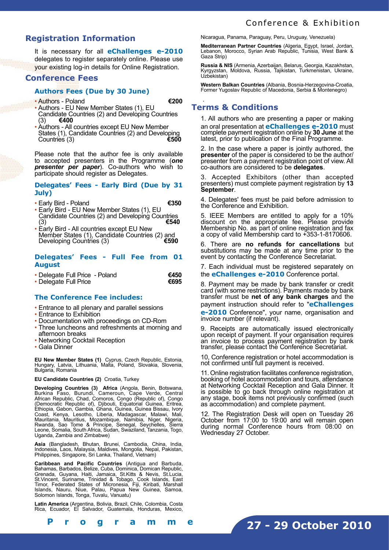#### **Registration Information**

It is necessary for all **eChallenges e-2010** delegates to register separately online. Please use your existing log-in details for Online Registration.

#### **Conference Fees**

#### **Authors Fees (Due by 30 June)**

• Authors - Poland **€200**

- Authors EU New Member States (1), EU Candidate Countries (2) and Developing Countries (3)  $\epsilon$ 400 (3) **€400** • Authors - All countries except EU New Member
- States (1), Candidate Countries (2) and Developing<br>Countries (3) Countries<sup>(3)</sup>

Please note that the author fee is only available to accepted presenters in the Programme (*one presenter per paper*). Co-authors who wish to participate should register as Delegates.

#### **Delegates' Fees - Early Bird (Due by 31 July)**

- Early Bird Poland **€350**
- Early Bird EU New Member States (1), EU Candidate Countries (2) and Developing Countries<br>(3) €540 (3) **€540**
- Early Bird All countries except EU New Member States (1), Candidate Countries (2) and<br>Developing Countries (3) Developing Countries (3)

#### **Delegates' Fees - Full Fee from 01 August**

| • Delegate Full Price - Poland | €450 |
|--------------------------------|------|
| • Delegate Full Price          | €695 |

#### **The Conference Fee includes:**

- Entrance to all plenary and parallel sessions
- Entrance to Exhibition
- Documentation with proceedings on CD-Rom
- Three luncheons and refreshments at morning and afternoon breaks
- Networking Cocktail Reception
- Gala Dinner

**EU New Member States (1)** Cyprus, Czech Republic, Estonia, Hungary, Latvia, Lithuania, Malta, Poland, Slovakia, Slovenia, Bulgaria, Romania

#### **EU Candidate Countries (2)** Croatia, Turkey

**Developing Countries (3) Africa** (Angola, Benin, Botswana, Burkina Faso, Burundi, Cameroun, Cape Verde, Central African Republic, Chad, Comoros, Congo (Republic of), Congo (Democratic Republic of), Djibouti, Equatorial Guinea, Eritrea, Ethiopia, Gabon, Gambia, Ghana, Guinea, Guinea Bissau, Ivory Coast, Kenya, Lesotho, Liberia, Madagascar, Malawi, Mali, Mauritania, Mauritius, Mozambique, Namibia, Niger, Nigeria, Rwanda, Sao Tome & Principe, Senegal, Seychelles, Sierra Leone, Somalia, South Africa, Sudan, Swaziland, Tanzania, Togo, Uganda, Zambia and Zimbabwe)

**Asia** (Bangladesh, Bhutan, Brunei, Cambodia, China, India, Indonesia, Laos, Malaysia, Maldives, Mongolia, Nepal, Pakistan, Philippines, Singapore, Sri Lanka, Thailand, Vietnam)

**Caribbean and Pacific Countries** (Antigua and Barbuda, Bahamas, Barbados, Belize, Cuba, Dominica, Domican Republic, Grenada, Guyana, Haiti, Jamaica, St.Kitts & Nevis, St.Lucia, St.Vincent, Suriname, Trinidad & Tobago, Cook Islands, East Timor, Federated States of Micronesia, Fiji, Kiribati, Marshall Islands, Nauru, Niue, Palau, Papua New Guinea, Samoa, Solomon Islands, Tonga, Tuvalu, Vanuatu)

**Latin America** (Argentina, Bolivia, Brazil, Chile, Colombia, Costa Rica, Ecuador, El Salvador, Guatemala, Honduras, Mexico,

Nicaragua, Panama, Paraguay, Peru, Uruguay, Venezuela)

**Mediterranean Partner Countries** (Algeria, Egypt, Israel, Jordan, Lebanon, Morocco, Syrian Arab Republic, Tunisia, West Bank & Gaza Strip)

**Russia & NIS** (Armenia, Azerbaijan, Belarus, Georgia, Kazakhstan, Kyrgyzstan, Moldova, Russia, Tajikistan, Turkmenistan, Ukraine, Uzbekistan)

**Western Balkan Countries** (Albania, Bosnia-Herzegovina-Croatia, Former Yugoslav Republic of Macedonia, Serbia & Montenegro)

#### . **Terms & Conditions**

1. All authors who are presenting a paper or making an oral presentation at **eChallenges e-2010** must complete payment registration online by **30 June** at the latest, prior to publication of the Final Programme.

2. In the case where a paper is jointly authored, the **presenter** of the paper is considered to be the author/ presenter from a payment registration point of view. All co-authors are considered to be **delegates**.

Accepted Exhibitors (other than accepted presenters) must complete payment registration by **13 September**.

4. Delegates' fees must be paid before admission to the Conference and Exhibition.

5. IEEE Members are entitled to apply for a 10% discount on the appropriate fee. Please provide Membership No. as part of online registration and fax a copy of valid Membership card to +353-1-8170606.

6. There are **no refunds for cancellations** but substitutions may be made at any time prior to the event by contacting the Conference Secretariat.

7. Each individual must be registered separately on the **eChallenges e-2010** Conference portal.

8. Payment may be made by bank transfer or credit card (with some restrictions). Payments made by bank transfer must be **net of any bank charges** and the payment instruction should refer to "**eChallenges e-2010** Conference", your name, organisation and invoice number (if relevant).

9. Receipts are automatically issued electronically upon receipt of payment. If your organisation requires an invoice to process payment registration by bank transfer, please contact the Conference Secretariat.

10, Conference registration or hotel accommodation is not confirmed until full payment is received.

11. Online registration facilitates conference registration, booking of hotel accommodation and tours, attendance at Networking Cocktail Reception and Gala Dinner. It is possible to go back through online registration at any stage, book items not previously confirmed (such as accommodation) and complete payment.

12. The Registration Desk will open on Tuesday 26 October from 17:00 to 19:00 and will remain open during normal Conference hours from 08:00 on Wednesday 27 October.